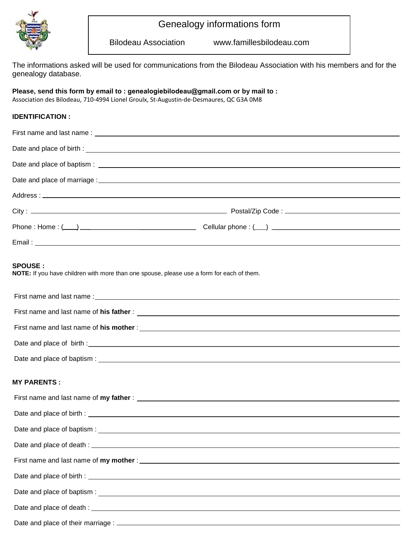

## Genealogy informations form

Bilodeau Association www.famillesbilodeau.com

The informations asked will be used for communications from the Bilodeau Association with his members and for the genealogy database.

## **Please, send this form by email to : genealogiebilodeau@gmail.com or by mail to :**

Association des Bilodeau, 710-4994 Lionel Groulx, St-Augustin-de-Desmaures, QC G3A 0M8

## **IDENTIFICATION :**

| <b>SPOUSE :</b><br>NOTE: If you have children with more than one spouse, please use a form for each of them. |  |
|--------------------------------------------------------------------------------------------------------------|--|
|                                                                                                              |  |
|                                                                                                              |  |
|                                                                                                              |  |
|                                                                                                              |  |
|                                                                                                              |  |
| <b>MY PARENTS :</b>                                                                                          |  |
|                                                                                                              |  |
|                                                                                                              |  |
|                                                                                                              |  |
|                                                                                                              |  |
|                                                                                                              |  |
|                                                                                                              |  |
|                                                                                                              |  |
|                                                                                                              |  |
|                                                                                                              |  |